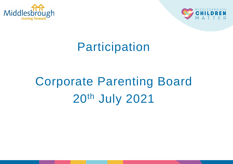



# Participation

# Corporate Parenting Board 20th July 2021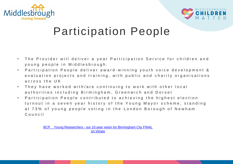



### Participation People

- The Provider will deliver a year Participation Service for children and young people in Middlesbrough.
- Participation People deliver award-winning youth voice development & evaluation projects and training, with public and charity organisations across the UK
- They have worked with/are continuing to work with other local authorities including Birmingham, Greenwich and Dorset
- Participation People contributed to achieving the highest election turnout in a seven year history of the Young Mayor scheme, standing at 73% of young people voting in the London Borough of Newham C o u n c i l

BCP \_ Young Researchers - [our 10 year vision for Birmingham City FINAL](https://vimeo.com/525678265) on Vimeo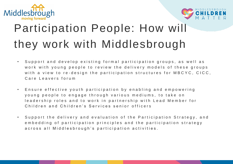



# Participation People: How will they work with Middlesbrough

- Support and develop existing formal participation groups, as well as work with young people to review the delivery models of these groups with a view to re-design the participation structures for MBCYC, CICC, Care Leavers forum
- Ensure effective youth participation by enabling and empowering young people to engage through various mediums, to take on leadership roles and to work in partnership with Lead Member for Children and Children's Services senior officers
- Support the delivery and evaluation of the Participation Strategy, and embedding of participation principles and the participation strategy a cross all Middlesbrough's participation activities.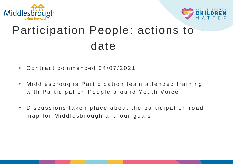



# Participation People: actions to date

- Contract commenced 04/07/2021
- Middlesbroughs Participation team attended training with Participation People around Youth Voice
- Discussions taken place about the participation road map for Middlesbrough and our goals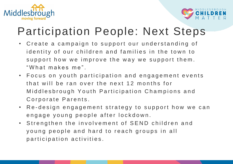



## Participation People: Next Steps

- Create a campaign to support our understanding of identity of our children and families in the town to support how we improve the way we support them. "What makes me".
- Focus on youth participation and engagement events that will be ran over the next 12 months for Middlesbrough Youth Participation Champions and Corporate Parents.
- Re-design engagement strategy to support how we can engage young people after lockdown.
- Strengthen the involvement of SEND children and young people and hard to reach groups in all participation activities.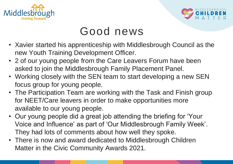



### Good news

- Xavier started his apprenticeship with Middlesbrough Council as the new Youth Training Development Officer.
- 2 of our young people from the Care Leavers Forum have been asked to join the Middlesbrough Family Placement Panel.
- Working closely with the SEN team to start developing a new SEN focus group for young people.
- The Participation Team are working with the Task and Finish group for NEET/Care leavers in order to make opportunities more available to our young people.
- Our young people did a great job attending the briefing for 'Your Voice and Influence' as part of 'Our Middlesbrough Family Week'. They had lots of comments about how well they spoke.
- There is now and award dedicated to Middlesbrough Children Matter in the Civic Community Awards 2021.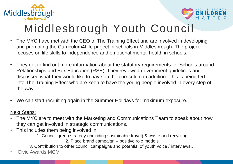



# Middlesbrough Youth Council

- The MYC have met with the CEO of The Training Effect and are involved in developing and promoting the Curriculum4Life project in schools in Middlesbrough. The project focuses on life skills to independence and emotional mental health in schools.
- They got to find out more information about the statutory requirements for Schools around Relationships and Sex Education (RSE). They reviewed government guidelines and discussed what they would like to have on the curriculum in addition. This is being fed into The Training Effect who are keen to have the young people involved in every step of the way.
- We can start recruiting again in the Summer Holidays for maximum exposure.

Next Steps:

- The MYC are to meet with the Marketing and Communications Team to speak about how they can get involved in strategic communications.
- This includes them being involved in:

1. Council green strategy (including sustainable travel) & waste and recycling

2. Place brand campaign – positive role models

3. Contribution to other council campaigns and potential of youth voice / interviews…

• Civic Awards MCM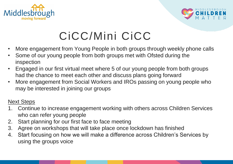



# CiCC/Mini CiCC

- More engagement from Young People in both groups through weekly phone calls
- Some of our young people from both groups met with Ofsted during the inspection
- Engaged in our first virtual meet where 5 of our young people from both groups had the chance to meet each other and discuss plans going forward
- More engagement from Social Workers and IROs passing on young people who may be interested in joining our groups

#### Next Steps

- 1. Continue to increase engagement working with others across Children Services who can refer young people
- 2. Start planning for our first face to face meeting
- 3. Agree on workshops that will take place once lockdown has finished
- 4. Start focusing on how we will make a difference across Children's Services by using the groups voice